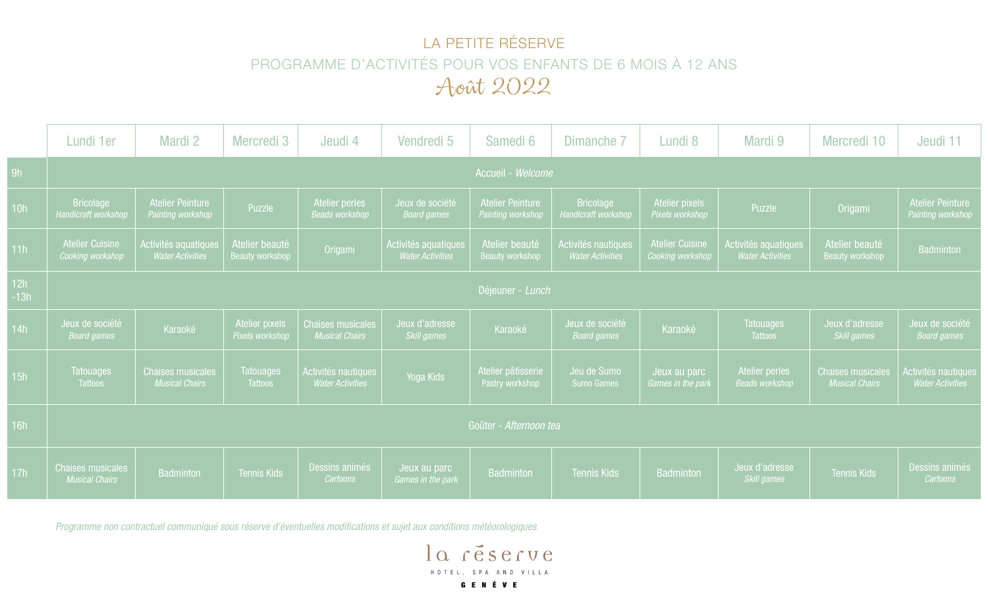## LA PETITE RÉSERVE PROGRAMME D'ACTIVITÉS POUR VOS ENFANTS DE 6 MOIS À 12 ANS Août 2022

|               | Lundi 1er                                         | Mardi 2                                           | Mercredi 3                               | Jeudi 4                                           | Vendredi 5                                      | Samedi 6                                     | Dimanche 7                                     | Lundi 8                                    | Mardi 9                                         | Mercredi 10                                       | Jeudi 11                                       |
|---------------|---------------------------------------------------|---------------------------------------------------|------------------------------------------|---------------------------------------------------|-------------------------------------------------|----------------------------------------------|------------------------------------------------|--------------------------------------------|-------------------------------------------------|---------------------------------------------------|------------------------------------------------|
| 9h            | Accueil - Welcome                                 |                                                   |                                          |                                                   |                                                 |                                              |                                                |                                            |                                                 |                                                   |                                                |
| 10h           | <b>Bricolage</b><br>Handicraft workshop           | <b>Atelier Peinture</b><br>Painting workshop      | Puzzle                                   | Atelier perles<br><b>Beads workshop</b>           | Jeux de société<br><b>Board games</b>           | <b>Atelier Peinture</b><br>Painting workshop | <b>Bricolage</b><br>Handicraft workshop        | <b>Atelier pixels</b><br>Pixels workshop   | Puzzle                                          | Origami                                           | <b>Atelier Peinture</b><br>Painting workshop   |
| 11h           | <b>Atelier Cuisine</b><br>Cooking workshop        | Activités aquatiques<br><b>Water Activities</b>   | Atelier beauté<br><b>Beauty workshop</b> | Origami                                           | Activités aquatiques<br><b>Water Activities</b> | Atelier beauté<br><b>Beauty workshop</b>     | Activités nautiques<br><b>Water Activities</b> | <b>Atelier Cuisine</b><br>Cooking workshop | Activités aquatiques<br><b>Water Activities</b> | Atelier beauté<br>Beauty workshop                 | Badminton                                      |
| 12h<br>$-13h$ | Déjeuner - Lunch                                  |                                                   |                                          |                                                   |                                                 |                                              |                                                |                                            |                                                 |                                                   |                                                |
| 14h           | Jeux de société<br><b>Board games</b>             | Karaoké                                           | Atelier pixels<br>Pixels workshop        | <b>Chaises musicales</b><br><b>Musical Chairs</b> | Jeux d'adresse<br>Skill games                   | Karaoké                                      | Jeux de société<br><b>Board games</b>          | Karaoké                                    | <b>Tatouages</b><br><b>Tattoos</b>              | Jeux d'adresse<br>Skill games                     | Jeux de société<br><b>Board games</b>          |
| 15h           | <b>Tatouages</b><br><b>Tattoos</b>                | <b>Chaises musicales</b><br><b>Musical Chairs</b> | <b>Tatouages</b><br><b>Tattoos</b>       | Activités nautiques<br><b>Water Activities</b>    | Yoga Kids                                       | Atelier pâtisserie<br>Pastry workshop        | Jeu de Sumo<br><b>Sumo Games</b>               | Jeux au parc<br>Games in the park          | Atelier perles<br><b>Beads workshop</b>         | <b>Chaises musicales</b><br><b>Musical Chairs</b> | Activités nautiques<br><b>Water Activities</b> |
| 16h           | Goûter - Afternoon tea                            |                                                   |                                          |                                                   |                                                 |                                              |                                                |                                            |                                                 |                                                   |                                                |
| 17h           | <b>Chaises musicales</b><br><b>Musical Chairs</b> | <b>Badminton</b>                                  | Tennis Kids                              | Dessins animés<br>Cartoons                        | Jeux au parc<br>Games in the park               | Badminton                                    | <b>Tennis Kids</b>                             | <b>Badminton</b>                           | Jeux d'adresse<br><b>Skill games</b>            | Tennis Kids                                       | Dessins animés<br>Cartoons                     |

*Programme non contractuel communiqué sous réserve d'éventuelles modifications et sujet aux conditions météorologiques*

la réserve HOTEL, SPA AND VILLA **GENÈVE**